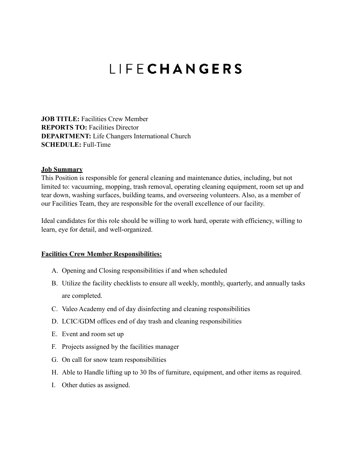## LIFECHANGERS

**JOB TITLE:** Facilities Crew Member **REPORTS TO:** Facilities Director **DEPARTMENT:** Life Changers International Church **SCHEDULE:** Full-Time

## **Job Summary**

This Position is responsible for general cleaning and maintenance duties, including, but not limited to: vacuuming, mopping, trash removal, operating cleaning equipment, room set up and tear down, washing surfaces, building teams, and overseeing volunteers. Also, as a member of our Facilities Team, they are responsible for the overall excellence of our facility.

Ideal candidates for this role should be willing to work hard, operate with efficiency, willing to learn, eye for detail, and well-organized.

## **Facilities Crew Member Responsibilities:**

- A. Opening and Closing responsibilities if and when scheduled
- B. Utilize the facility checklists to ensure all weekly, monthly, quarterly, and annually tasks are completed.
- C. Valeo Academy end of day disinfecting and cleaning responsibilities
- D. LCIC/GDM offices end of day trash and cleaning responsibilities
- E. Event and room set up
- F. Projects assigned by the facilities manager
- G. On call for snow team responsibilities
- H. Able to Handle lifting up to 30 lbs of furniture, equipment, and other items as required.
- I. Other duties as assigned.